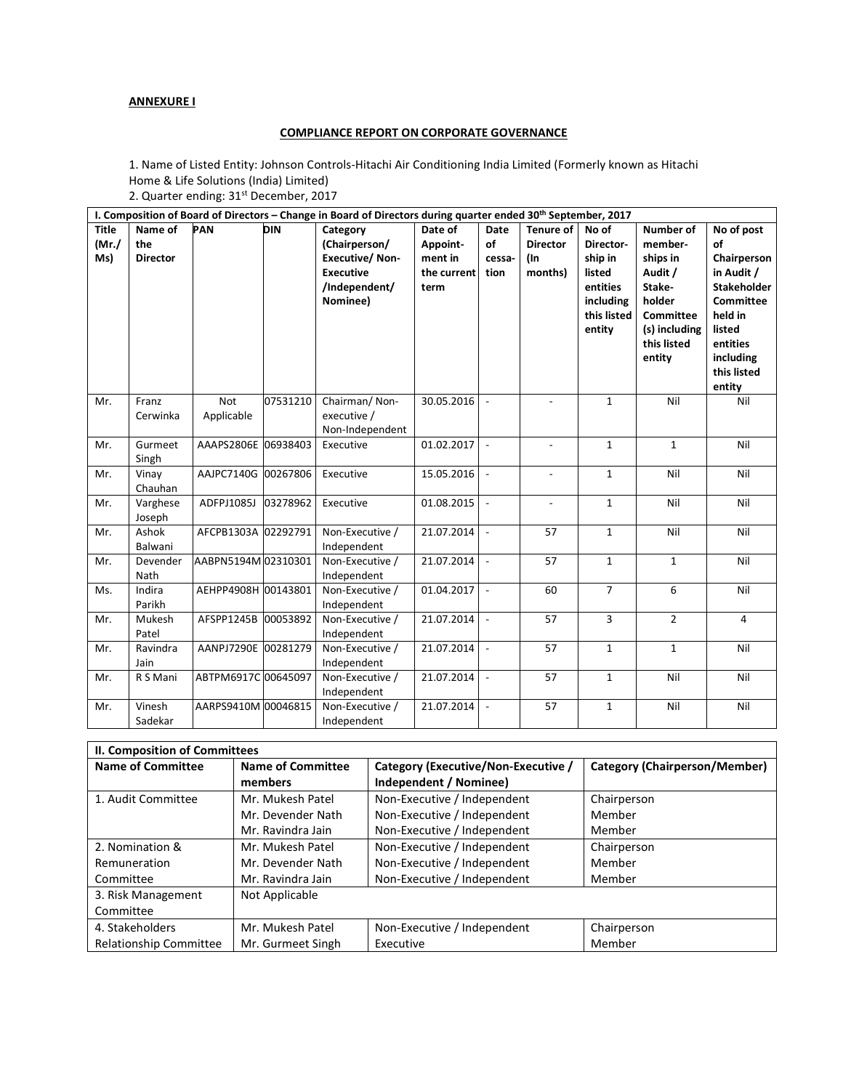## **ANNEXURE I**

## **COMPLIANCE REPORT ON CORPORATE GOVERNANCE**

1. Name of Listed Entity: Johnson Controls-Hitachi Air Conditioning India Limited (Formerly known as Hitachi Home & Life Solutions (India) Limited)

2. Quarter ending: 31<sup>st</sup> December, 2017

| I. Composition of Board of Directors – Change in Board of Directors during quarter ended 30th September, 2017 |                                   |                          |            |                                                                                                     |                                                       |                              |                                                       |                                                                                           |                                                                                                                        |                                                                                                                                                                |
|---------------------------------------------------------------------------------------------------------------|-----------------------------------|--------------------------|------------|-----------------------------------------------------------------------------------------------------|-------------------------------------------------------|------------------------------|-------------------------------------------------------|-------------------------------------------------------------------------------------------|------------------------------------------------------------------------------------------------------------------------|----------------------------------------------------------------------------------------------------------------------------------------------------------------|
| <b>Title</b><br>(Mr./<br>Ms)                                                                                  | Name of<br>the<br><b>Director</b> | <b>PAN</b>               | <b>DIN</b> | Category<br>(Chairperson/<br><b>Executive/Non-</b><br><b>Executive</b><br>/Independent/<br>Nominee) | Date of<br>Appoint-<br>ment in<br>the current<br>term | Date<br>of<br>cessa-<br>tion | <b>Tenure of</b><br><b>Director</b><br>(In<br>months) | No of<br>Director-<br>ship in<br>listed<br>entities<br>including<br>this listed<br>entity | Number of<br>member-<br>ships in<br>Audit /<br>Stake-<br>holder<br>Committee<br>(s) including<br>this listed<br>entity | No of post<br>of<br>Chairperson<br>in Audit /<br><b>Stakeholder</b><br><b>Committee</b><br>held in<br>listed<br>entities<br>including<br>this listed<br>entity |
| Mr.                                                                                                           | Franz<br>Cerwinka                 | <b>Not</b><br>Applicable | 07531210   | Chairman/Non-<br>executive /<br>Non-Independent                                                     | 30.05.2016                                            | $\overline{\phantom{a}}$     |                                                       | $\mathbf{1}$                                                                              | Nil                                                                                                                    | Nil                                                                                                                                                            |
| Mr.                                                                                                           | Gurmeet<br>Singh                  | AAAPS2806E 06938403      |            | Executive                                                                                           | 01.02.2017                                            | $\overline{\phantom{a}}$     | $\overline{a}$                                        | $\mathbf{1}$                                                                              | $\mathbf{1}$                                                                                                           | Nil                                                                                                                                                            |
| Mr.                                                                                                           | Vinay<br>Chauhan                  | AAJPC7140G 00267806      |            | Executive                                                                                           | 15.05.2016                                            | $\mathbb{L}$                 | $\overline{\phantom{a}}$                              | $\mathbf{1}$                                                                              | Nil                                                                                                                    | Nil                                                                                                                                                            |
| Mr.                                                                                                           | Varghese<br>Joseph                | ADFPJ1085J               | 03278962   | Executive                                                                                           | 01.08.2015                                            | $\overline{\phantom{a}}$     | $\overline{\phantom{a}}$                              | $\mathbf{1}$                                                                              | Nil                                                                                                                    | Nil                                                                                                                                                            |
| Mr.                                                                                                           | Ashok<br>Balwani                  | AFCPB1303A 02292791      |            | Non-Executive /<br>Independent                                                                      | 21.07.2014                                            | $\overline{\phantom{a}}$     | 57                                                    | $\mathbf{1}$                                                                              | Nil                                                                                                                    | Nil                                                                                                                                                            |
| Mr.                                                                                                           | Devender<br>Nath                  | AABPN5194M 02310301      |            | Non-Executive /<br>Independent                                                                      | 21.07.2014                                            | $\sim$                       | 57                                                    | $\mathbf{1}$                                                                              | $\mathbf{1}$                                                                                                           | Nil                                                                                                                                                            |
| Ms.                                                                                                           | Indira<br>Parikh                  | AEHPP4908H 00143801      |            | Non-Executive /<br>Independent                                                                      | 01.04.2017                                            | $\overline{\phantom{a}}$     | 60                                                    | $\overline{7}$                                                                            | 6                                                                                                                      | Nil                                                                                                                                                            |
| Mr.                                                                                                           | Mukesh<br>Patel                   | AFSPP1245B 00053892      |            | Non-Executive /<br>Independent                                                                      | 21.07.2014                                            | $\overline{\phantom{a}}$     | 57                                                    | 3                                                                                         | $\overline{2}$                                                                                                         | 4                                                                                                                                                              |
| Mr.                                                                                                           | Ravindra<br>Jain                  | AANPJ7290E 00281279      |            | Non-Executive /<br>Independent                                                                      | 21.07.2014                                            | $\overline{\phantom{a}}$     | 57                                                    | $\mathbf{1}$                                                                              | $\mathbf{1}$                                                                                                           | Nil                                                                                                                                                            |
| Mr.                                                                                                           | R S Mani                          | ABTPM6917C 00645097      |            | Non-Executive /<br>Independent                                                                      | 21.07.2014                                            | $\overline{\phantom{a}}$     | 57                                                    | $\mathbf{1}$                                                                              | Nil                                                                                                                    | Nil                                                                                                                                                            |
| Mr.                                                                                                           | Vinesh<br>Sadekar                 | AARPS9410M 00046815      |            | Non-Executive /<br>Independent                                                                      | 21.07.2014                                            | $\overline{\phantom{a}}$     | 57                                                    | $\mathbf{1}$                                                                              | Nil                                                                                                                    | Nil                                                                                                                                                            |

| II. Composition of Committees |                   |                                     |                               |  |  |  |
|-------------------------------|-------------------|-------------------------------------|-------------------------------|--|--|--|
| <b>Name of Committee</b>      | Name of Committee | Category (Executive/Non-Executive / | Category (Chairperson/Member) |  |  |  |
|                               | members           | Independent / Nominee)              |                               |  |  |  |
| 1. Audit Committee            | Mr. Mukesh Patel  | Non-Executive / Independent         | Chairperson                   |  |  |  |
|                               | Mr. Devender Nath | Non-Executive / Independent         | Member                        |  |  |  |
|                               | Mr. Ravindra Jain | Non-Executive / Independent         | Member                        |  |  |  |
| 2. Nomination &               | Mr. Mukesh Patel  | Non-Executive / Independent         | Chairperson                   |  |  |  |
| Remuneration                  | Mr. Devender Nath | Non-Executive / Independent         | Member                        |  |  |  |
| Committee                     | Mr. Ravindra Jain | Non-Executive / Independent         | Member                        |  |  |  |
| 3. Risk Management            | Not Applicable    |                                     |                               |  |  |  |
| Committee                     |                   |                                     |                               |  |  |  |
| 4. Stakeholders               | Mr. Mukesh Patel  | Non-Executive / Independent         | Chairperson                   |  |  |  |
| <b>Relationship Committee</b> | Mr. Gurmeet Singh | Executive                           | Member                        |  |  |  |